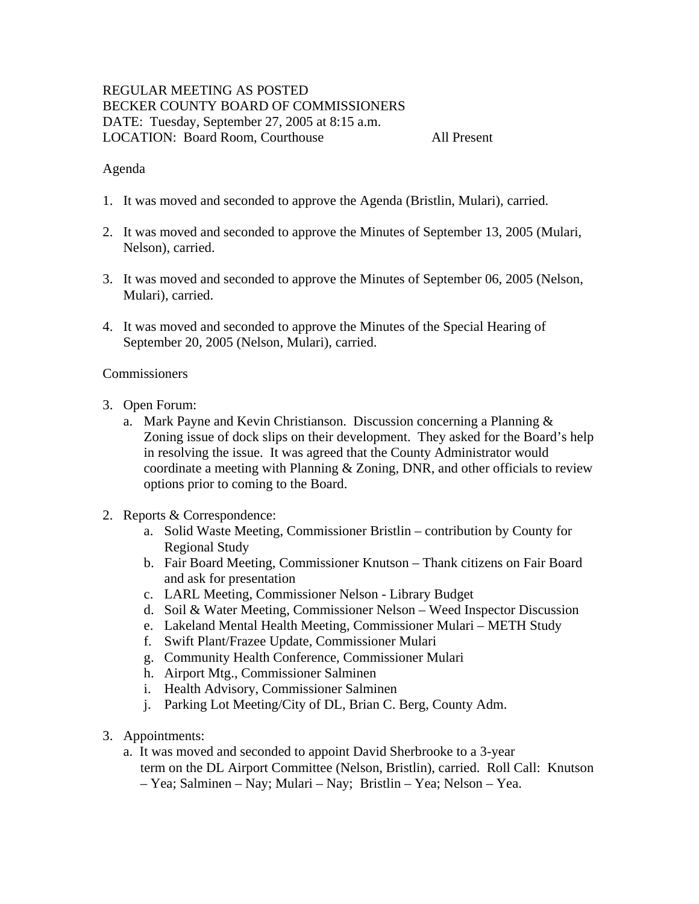# REGULAR MEETING AS POSTED BECKER COUNTY BOARD OF COMMISSIONERS DATE: Tuesday, September 27, 2005 at 8:15 a.m. LOCATION: Board Room, Courthouse All Present

#### Agenda

- 1. It was moved and seconded to approve the Agenda (Bristlin, Mulari), carried.
- 2. It was moved and seconded to approve the Minutes of September 13, 2005 (Mulari, Nelson), carried.
- 3. It was moved and seconded to approve the Minutes of September 06, 2005 (Nelson, Mulari), carried.
- 4. It was moved and seconded to approve the Minutes of the Special Hearing of September 20, 2005 (Nelson, Mulari), carried.

#### **Commissioners**

- 3. Open Forum:
	- a. Mark Payne and Kevin Christianson. Discussion concerning a Planning & Zoning issue of dock slips on their development. They asked for the Board's help in resolving the issue. It was agreed that the County Administrator would coordinate a meeting with Planning & Zoning, DNR, and other officials to review options prior to coming to the Board.
- 2. Reports & Correspondence:
	- a. Solid Waste Meeting, Commissioner Bristlin contribution by County for Regional Study
	- b. Fair Board Meeting, Commissioner Knutson Thank citizens on Fair Board and ask for presentation
	- c. LARL Meeting, Commissioner Nelson Library Budget
	- d. Soil & Water Meeting, Commissioner Nelson Weed Inspector Discussion
	- e. Lakeland Mental Health Meeting, Commissioner Mulari METH Study
	- f. Swift Plant/Frazee Update, Commissioner Mulari
	- g. Community Health Conference, Commissioner Mulari
	- h. Airport Mtg., Commissioner Salminen
	- i. Health Advisory, Commissioner Salminen
	- j. Parking Lot Meeting/City of DL, Brian C. Berg, County Adm.
- 3. Appointments:
	- a. It was moved and seconded to appoint David Sherbrooke to a 3-year term on the DL Airport Committee (Nelson, Bristlin), carried. Roll Call: Knutson
		- Yea; Salminen Nay; Mulari Nay; Bristlin Yea; Nelson Yea.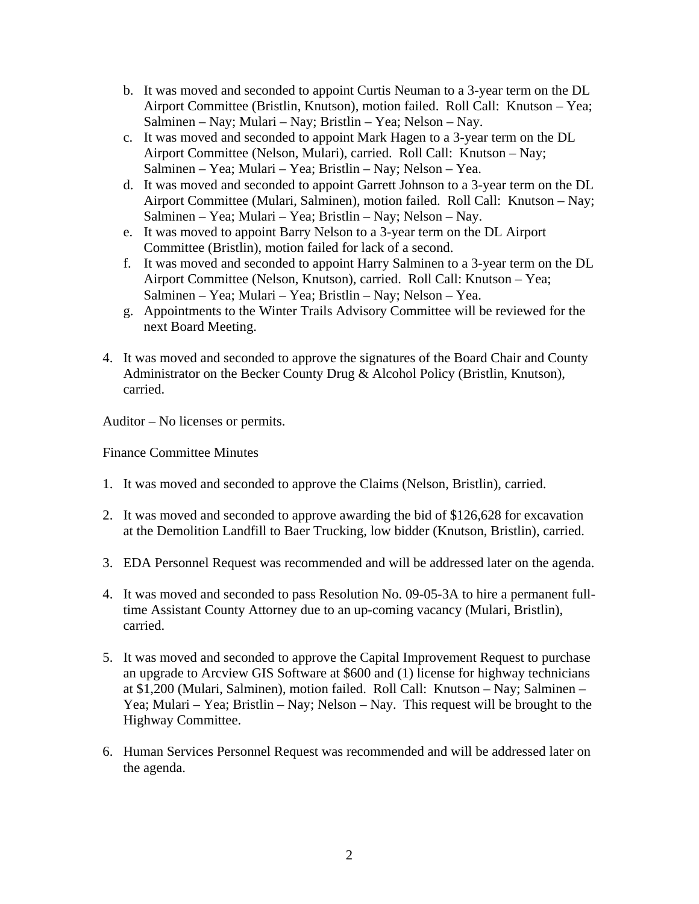- b. It was moved and seconded to appoint Curtis Neuman to a 3-year term on the DL Airport Committee (Bristlin, Knutson), motion failed. Roll Call: Knutson – Yea; Salminen – Nay; Mulari – Nay; Bristlin – Yea; Nelson – Nay.
- c. It was moved and seconded to appoint Mark Hagen to a 3-year term on the DL Airport Committee (Nelson, Mulari), carried. Roll Call: Knutson – Nay; Salminen – Yea; Mulari – Yea; Bristlin – Nay; Nelson – Yea.
- d. It was moved and seconded to appoint Garrett Johnson to a 3-year term on the DL Airport Committee (Mulari, Salminen), motion failed. Roll Call: Knutson – Nay; Salminen – Yea; Mulari – Yea; Bristlin – Nay; Nelson – Nay.
- e. It was moved to appoint Barry Nelson to a 3-year term on the DL Airport Committee (Bristlin), motion failed for lack of a second.
- f. It was moved and seconded to appoint Harry Salminen to a 3-year term on the DL Airport Committee (Nelson, Knutson), carried. Roll Call: Knutson – Yea; Salminen – Yea; Mulari – Yea; Bristlin – Nay; Nelson – Yea.
- g. Appointments to the Winter Trails Advisory Committee will be reviewed for the next Board Meeting.
- 4. It was moved and seconded to approve the signatures of the Board Chair and County Administrator on the Becker County Drug & Alcohol Policy (Bristlin, Knutson), carried.

Auditor – No licenses or permits.

Finance Committee Minutes

- 1. It was moved and seconded to approve the Claims (Nelson, Bristlin), carried.
- 2. It was moved and seconded to approve awarding the bid of \$126,628 for excavation at the Demolition Landfill to Baer Trucking, low bidder (Knutson, Bristlin), carried.
- 3. EDA Personnel Request was recommended and will be addressed later on the agenda.
- 4. It was moved and seconded to pass Resolution No. 09-05-3A to hire a permanent fulltime Assistant County Attorney due to an up-coming vacancy (Mulari, Bristlin), carried.
- 5. It was moved and seconded to approve the Capital Improvement Request to purchase an upgrade to Arcview GIS Software at \$600 and (1) license for highway technicians at \$1,200 (Mulari, Salminen), motion failed. Roll Call: Knutson – Nay; Salminen – Yea; Mulari – Yea; Bristlin – Nay; Nelson – Nay. This request will be brought to the Highway Committee.
- 6. Human Services Personnel Request was recommended and will be addressed later on the agenda.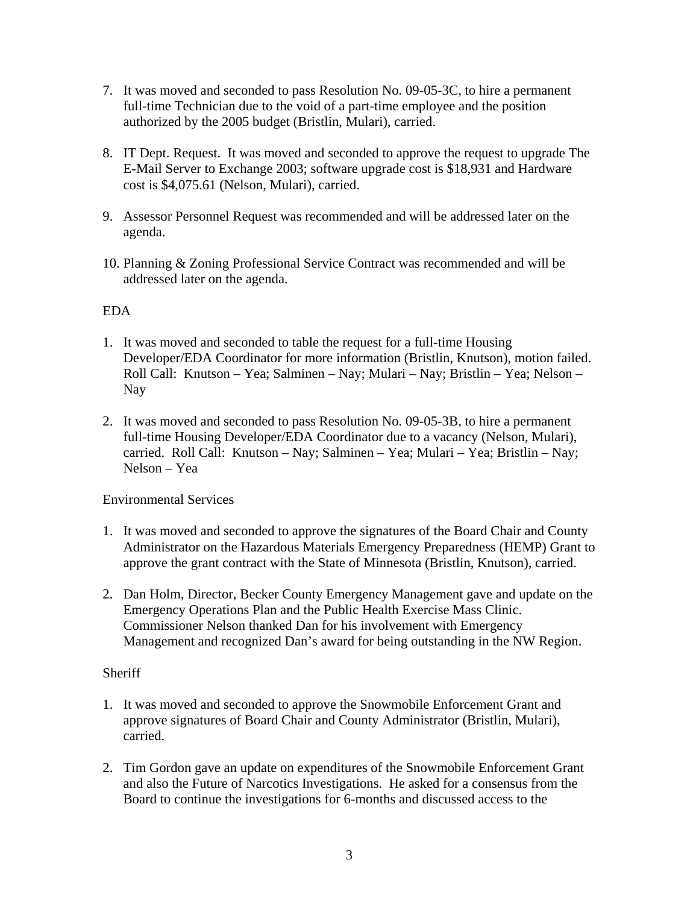- 7. It was moved and seconded to pass Resolution No. 09-05-3C, to hire a permanent full-time Technician due to the void of a part-time employee and the position authorized by the 2005 budget (Bristlin, Mulari), carried.
- 8. IT Dept. Request. It was moved and seconded to approve the request to upgrade The E-Mail Server to Exchange 2003; software upgrade cost is \$18,931 and Hardware cost is \$4,075.61 (Nelson, Mulari), carried.
- 9. Assessor Personnel Request was recommended and will be addressed later on the agenda.
- 10. Planning & Zoning Professional Service Contract was recommended and will be addressed later on the agenda.

# EDA

- 1. It was moved and seconded to table the request for a full-time Housing Developer/EDA Coordinator for more information (Bristlin, Knutson), motion failed. Roll Call: Knutson – Yea; Salminen – Nay; Mulari – Nay; Bristlin – Yea; Nelson – Nay
- 2. It was moved and seconded to pass Resolution No. 09-05-3B, to hire a permanent full-time Housing Developer/EDA Coordinator due to a vacancy (Nelson, Mulari), carried. Roll Call: Knutson – Nay; Salminen – Yea; Mulari – Yea; Bristlin – Nay; Nelson – Yea

Environmental Services

- 1. It was moved and seconded to approve the signatures of the Board Chair and County Administrator on the Hazardous Materials Emergency Preparedness (HEMP) Grant to approve the grant contract with the State of Minnesota (Bristlin, Knutson), carried.
- 2. Dan Holm, Director, Becker County Emergency Management gave and update on the Emergency Operations Plan and the Public Health Exercise Mass Clinic. Commissioner Nelson thanked Dan for his involvement with Emergency Management and recognized Dan's award for being outstanding in the NW Region.

# **Sheriff**

- 1. It was moved and seconded to approve the Snowmobile Enforcement Grant and approve signatures of Board Chair and County Administrator (Bristlin, Mulari), carried.
- 2. Tim Gordon gave an update on expenditures of the Snowmobile Enforcement Grant and also the Future of Narcotics Investigations. He asked for a consensus from the Board to continue the investigations for 6-months and discussed access to the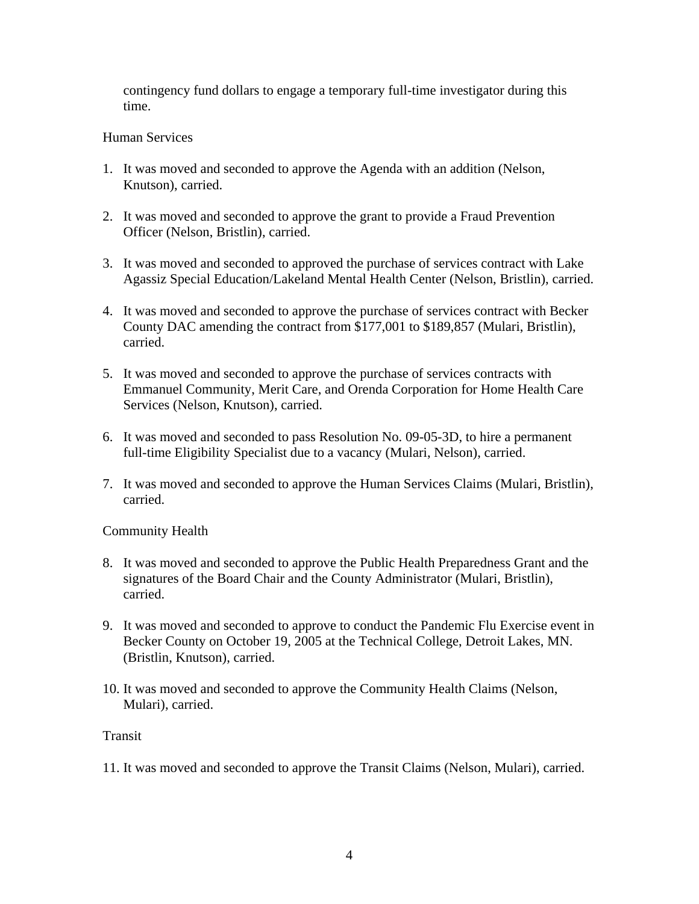contingency fund dollars to engage a temporary full-time investigator during this time.

### Human Services

- 1. It was moved and seconded to approve the Agenda with an addition (Nelson, Knutson), carried.
- 2. It was moved and seconded to approve the grant to provide a Fraud Prevention Officer (Nelson, Bristlin), carried.
- 3. It was moved and seconded to approved the purchase of services contract with Lake Agassiz Special Education/Lakeland Mental Health Center (Nelson, Bristlin), carried.
- 4. It was moved and seconded to approve the purchase of services contract with Becker County DAC amending the contract from \$177,001 to \$189,857 (Mulari, Bristlin), carried.
- 5. It was moved and seconded to approve the purchase of services contracts with Emmanuel Community, Merit Care, and Orenda Corporation for Home Health Care Services (Nelson, Knutson), carried.
- 6. It was moved and seconded to pass Resolution No. 09-05-3D, to hire a permanent full-time Eligibility Specialist due to a vacancy (Mulari, Nelson), carried.
- 7. It was moved and seconded to approve the Human Services Claims (Mulari, Bristlin), carried.

# Community Health

- 8. It was moved and seconded to approve the Public Health Preparedness Grant and the signatures of the Board Chair and the County Administrator (Mulari, Bristlin), carried.
- 9. It was moved and seconded to approve to conduct the Pandemic Flu Exercise event in Becker County on October 19, 2005 at the Technical College, Detroit Lakes, MN. (Bristlin, Knutson), carried.
- 10. It was moved and seconded to approve the Community Health Claims (Nelson, Mulari), carried.

#### Transit

11. It was moved and seconded to approve the Transit Claims (Nelson, Mulari), carried.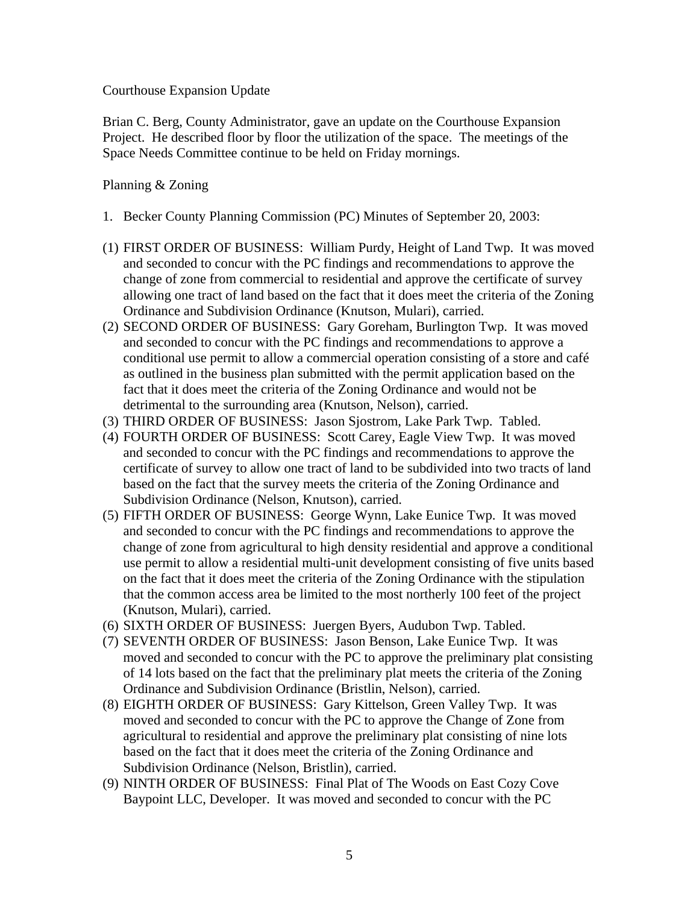Courthouse Expansion Update

Brian C. Berg, County Administrator, gave an update on the Courthouse Expansion Project. He described floor by floor the utilization of the space. The meetings of the Space Needs Committee continue to be held on Friday mornings.

#### Planning & Zoning

- 1. Becker County Planning Commission (PC) Minutes of September 20, 2003:
- (1) FIRST ORDER OF BUSINESS: William Purdy, Height of Land Twp. It was moved and seconded to concur with the PC findings and recommendations to approve the change of zone from commercial to residential and approve the certificate of survey allowing one tract of land based on the fact that it does meet the criteria of the Zoning Ordinance and Subdivision Ordinance (Knutson, Mulari), carried.
- (2) SECOND ORDER OF BUSINESS: Gary Goreham, Burlington Twp. It was moved and seconded to concur with the PC findings and recommendations to approve a conditional use permit to allow a commercial operation consisting of a store and café as outlined in the business plan submitted with the permit application based on the fact that it does meet the criteria of the Zoning Ordinance and would not be detrimental to the surrounding area (Knutson, Nelson), carried.
- (3) THIRD ORDER OF BUSINESS: Jason Sjostrom, Lake Park Twp. Tabled.
- (4) FOURTH ORDER OF BUSINESS: Scott Carey, Eagle View Twp. It was moved and seconded to concur with the PC findings and recommendations to approve the certificate of survey to allow one tract of land to be subdivided into two tracts of land based on the fact that the survey meets the criteria of the Zoning Ordinance and Subdivision Ordinance (Nelson, Knutson), carried.
- (5) FIFTH ORDER OF BUSINESS: George Wynn, Lake Eunice Twp. It was moved and seconded to concur with the PC findings and recommendations to approve the change of zone from agricultural to high density residential and approve a conditional use permit to allow a residential multi-unit development consisting of five units based on the fact that it does meet the criteria of the Zoning Ordinance with the stipulation that the common access area be limited to the most northerly 100 feet of the project (Knutson, Mulari), carried.
- (6) SIXTH ORDER OF BUSINESS: Juergen Byers, Audubon Twp. Tabled.
- (7) SEVENTH ORDER OF BUSINESS: Jason Benson, Lake Eunice Twp. It was moved and seconded to concur with the PC to approve the preliminary plat consisting of 14 lots based on the fact that the preliminary plat meets the criteria of the Zoning Ordinance and Subdivision Ordinance (Bristlin, Nelson), carried.
- (8) EIGHTH ORDER OF BUSINESS: Gary Kittelson, Green Valley Twp. It was moved and seconded to concur with the PC to approve the Change of Zone from agricultural to residential and approve the preliminary plat consisting of nine lots based on the fact that it does meet the criteria of the Zoning Ordinance and Subdivision Ordinance (Nelson, Bristlin), carried.
- (9) NINTH ORDER OF BUSINESS: Final Plat of The Woods on East Cozy Cove Baypoint LLC, Developer. It was moved and seconded to concur with the PC